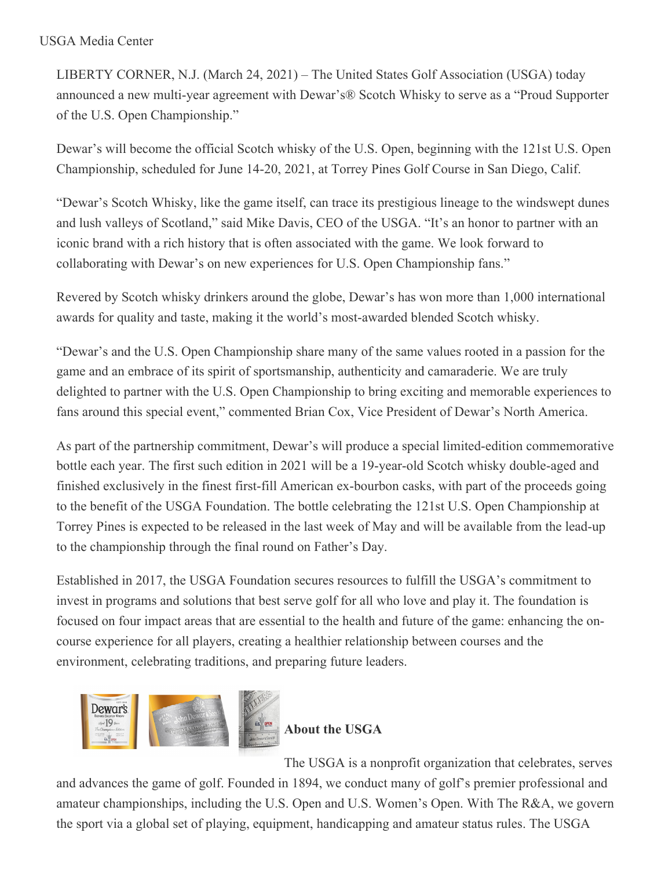## USGA Media Center

LIBERTY CORNER, N.J. (March 24, 2021) – The United States Golf Association (USGA) today announced a new multi-year agreement with Dewar's® Scotch Whisky to serve as a "Proud Supporter of the U.S. Open Championship."

Dewar's will become the official Scotch whisky of the U.S. Open, beginning with the 121st U.S. Open Championship, scheduled for June 14-20, 2021, at Torrey Pines Golf Course in San Diego, Calif.

"Dewar's Scotch Whisky, like the game itself, can trace its prestigious lineage to the windswept dunes and lush valleys of Scotland," said Mike Davis, CEO of the USGA. "It's an honor to partner with an iconic brand with a rich history that is often associated with the game. We look forward to collaborating with Dewar's on new experiences for U.S. Open Championship fans."

Revered by Scotch whisky drinkers around the globe, Dewar's has won more than 1,000 international awards for quality and taste, making it the world's most-awarded blended Scotch whisky.

"Dewar's and the U.S. Open Championship share many of the same values rooted in a passion for the game and an embrace of its spirit of sportsmanship, authenticity and camaraderie. We are truly delighted to partner with the U.S. Open Championship to bring exciting and memorable experiences to fans around this special event," commented Brian Cox, Vice President of Dewar's North America.

As part of the partnership commitment, Dewar's will produce a special limited-edition commemorative bottle each year. The first such edition in 2021 will be a 19-year-old Scotch whisky double-aged and finished exclusively in the finest first-fill American ex-bourbon casks, with part of the proceeds going to the benefit of the USGA Foundation. The bottle celebrating the 121st U.S. Open Championship at Torrey Pines is expected to be released in the last week of May and will be available from the lead-up to the championship through the final round on Father's Day.

Established in 2017, the USGA Foundation secures resources to fulfill the USGA's commitment to invest in programs and solutions that best serve golf for all who love and play it. The foundation is focused on four impact areas that are essential to the health and future of the game: enhancing the oncourse experience for all players, creating a healthier relationship between courses and the environment, celebrating traditions, and preparing future leaders.



**About the USGA**

The USGA is a nonprofit organization that celebrates, serves

and advances the game of golf. Founded in 1894, we conduct many of golf's premier professional and amateur championships, including the U.S. Open and U.S. Women's Open. With The R&A, we govern the sport via a global set of playing, equipment, handicapping and amateur status rules. The USGA